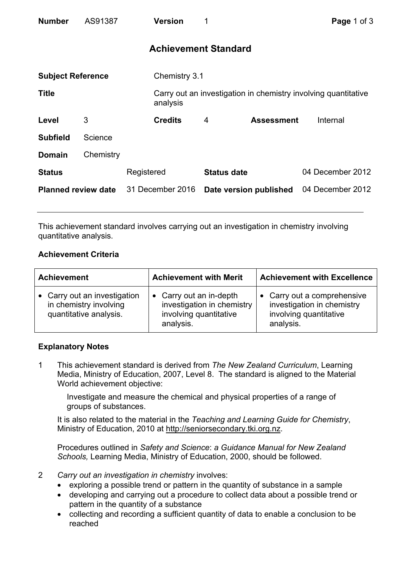| <b>Number</b>              | AS91387   |                  | <b>Version</b>              | 1                  |                        | Page 1 of 3                                                    |
|----------------------------|-----------|------------------|-----------------------------|--------------------|------------------------|----------------------------------------------------------------|
|                            |           |                  | <b>Achievement Standard</b> |                    |                        |                                                                |
| <b>Subject Reference</b>   |           |                  | Chemistry 3.1               |                    |                        |                                                                |
| <b>Title</b>               |           |                  | analysis                    |                    |                        | Carry out an investigation in chemistry involving quantitative |
| Level                      | 3         |                  | <b>Credits</b>              | 4                  | <b>Assessment</b>      | Internal                                                       |
| <b>Subfield</b>            | Science   |                  |                             |                    |                        |                                                                |
| <b>Domain</b>              | Chemistry |                  |                             |                    |                        |                                                                |
| <b>Status</b>              |           | Registered       |                             | <b>Status date</b> |                        | 04 December 2012                                               |
| <b>Planned review date</b> |           | 31 December 2016 |                             |                    | Date version published | 04 December 2012                                               |

This achievement standard involves carrying out an investigation in chemistry involving quantitative analysis.

## **Achievement Criteria**

| <b>Achievement</b>                                                               | <b>Achievement with Merit</b>                                                                | <b>Achievement with Excellence</b>                                                               |  |
|----------------------------------------------------------------------------------|----------------------------------------------------------------------------------------------|--------------------------------------------------------------------------------------------------|--|
| • Carry out an investigation<br>in chemistry involving<br>quantitative analysis. | • Carry out an in-depth<br>investigation in chemistry<br>involving quantitative<br>analysis. | • Carry out a comprehensive<br>investigation in chemistry<br>involving quantitative<br>analysis. |  |

## **Explanatory Notes**

1 This achievement standard is derived from *The New Zealand Curriculum*, Learning Media, Ministry of Education, 2007, Level 8. The standard is aligned to the Material World achievement objective:

Investigate and measure the chemical and physical properties of a range of groups of substances.

It is also related to the material in the *Teaching and Learning Guide for Chemistry*, Ministry of Education, 2010 at http://seniorsecondary.tki.org.nz.

Procedures outlined in *Safety and Science*: *a Guidance Manual for New Zealand Schools,* Learning Media, Ministry of Education, 2000, should be followed.

- 2 *Carry out an investigation in chemistry* involves:
	- exploring a possible trend or pattern in the quantity of substance in a sample
	- developing and carrying out a procedure to collect data about a possible trend or pattern in the quantity of a substance
	- collecting and recording a sufficient quantity of data to enable a conclusion to be reached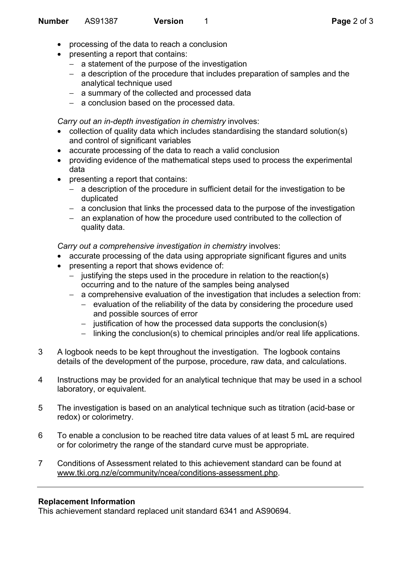- processing of the data to reach a conclusion
- presenting a report that contains:
	- − a statement of the purpose of the investigation
	- − a description of the procedure that includes preparation of samples and the analytical technique used
	- − a summary of the collected and processed data
	- − a conclusion based on the processed data.

*Carry out an in-depth investigation in chemistry* involves:

- collection of quality data which includes standardising the standard solution(s) and control of significant variables
- accurate processing of the data to reach a valid conclusion
- providing evidence of the mathematical steps used to process the experimental data
- presenting a report that contains:
	- − a description of the procedure in sufficient detail for the investigation to be duplicated
	- − a conclusion that links the processed data to the purpose of the investigation
	- − an explanation of how the procedure used contributed to the collection of quality data.

*Carry out a comprehensive investigation in chemistry* involves:

- accurate processing of the data using appropriate significant figures and units
- presenting a report that shows evidence of:
	- − justifying the steps used in the procedure in relation to the reaction(s) occurring and to the nature of the samples being analysed
	- − a comprehensive evaluation of the investigation that includes a selection from:
		- − evaluation of the reliability of the data by considering the procedure used and possible sources of error
		- − justification of how the processed data supports the conclusion(s)
		- − linking the conclusion(s) to chemical principles and/or real life applications.
- 3 A logbook needs to be kept throughout the investigation. The logbook contains details of the development of the purpose, procedure, raw data, and calculations.
- 4 Instructions may be provided for an analytical technique that may be used in a school laboratory, or equivalent.
- 5 The investigation is based on an analytical technique such as titration (acid-base or redox) or colorimetry.
- 6 To enable a conclusion to be reached titre data values of at least 5 mL are required or for colorimetry the range of the standard curve must be appropriate.
- 7 Conditions of Assessment related to this achievement standard can be found at www.tki.org.nz/e/community/ncea/conditions-assessment.php.

## **Replacement Information**

This achievement standard replaced unit standard 6341 and AS90694.